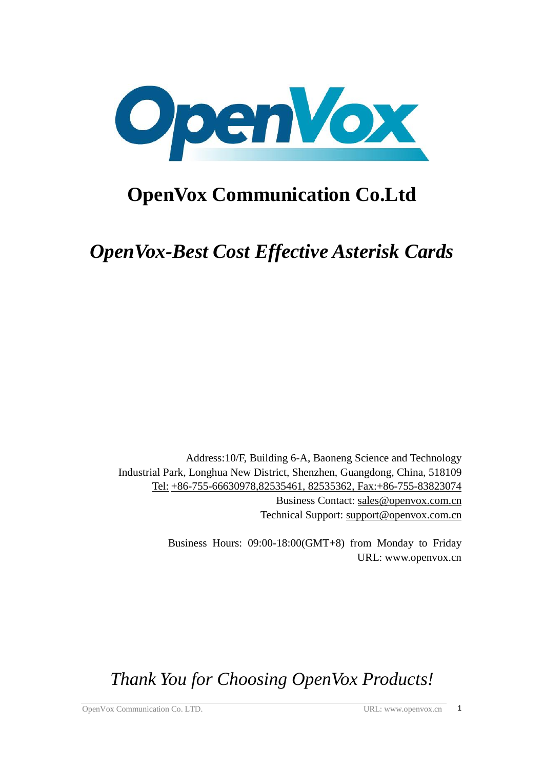

# **OpenVox Communication Co.Ltd**

*OpenVox-Best Cost Effective Asterisk Cards*

 Address:10/F, Building 6-A, Baoneng Science and Technology Industrial Park, Longhua New District, Shenzhen, Guangdong, China, 518109 Tel: +86-755-66630978,82535461, 82535362, Fax:+86-755-83823074 Business Contact: sales@openvox.com.cn Technical Support: [support@openvox.com.cn](mailto:support@openvox.com.cn)

> Business Hours: 09:00-18:00(GMT+8) from Monday to Friday URL: www.openvox.cn

*Thank You for Choosing OpenVox Products!*

OpenVox Communication Co. LTD. URL: www.openvox.cn 1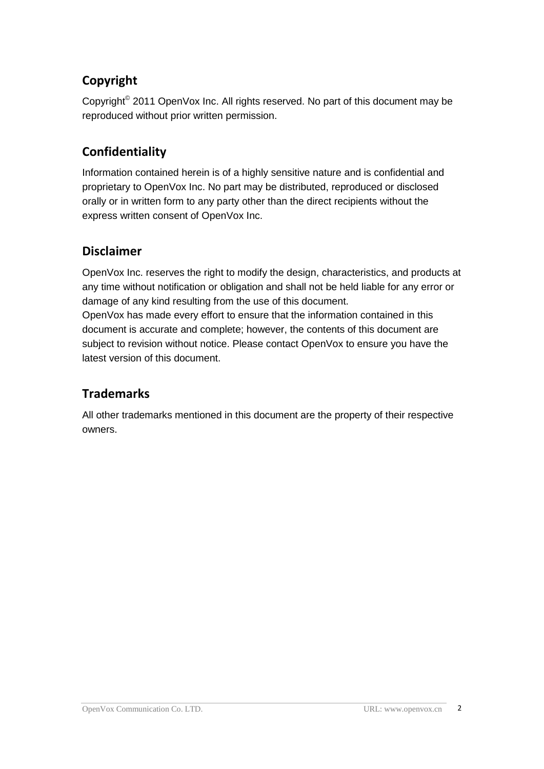## **Copyright**

Copyright<sup>©</sup> 2011 OpenVox Inc. All rights reserved. No part of this document may be reproduced without prior written permission.

## **Confidentiality**

Information contained herein is of a highly sensitive nature and is confidential and proprietary to OpenVox Inc. No part may be distributed, reproduced or disclosed orally or in written form to any party other than the direct recipients without the express written consent of OpenVox Inc.

### **Disclaimer**

OpenVox Inc. reserves the right to modify the design, characteristics, and products at any time without notification or obligation and shall not be held liable for any error or damage of any kind resulting from the use of this document.

OpenVox has made every effort to ensure that the information contained in this document is accurate and complete; however, the contents of this document are subject to revision without notice. Please contact OpenVox to ensure you have the latest version of this document.

## **Trademarks**

All other trademarks mentioned in this document are the property of their respective owners.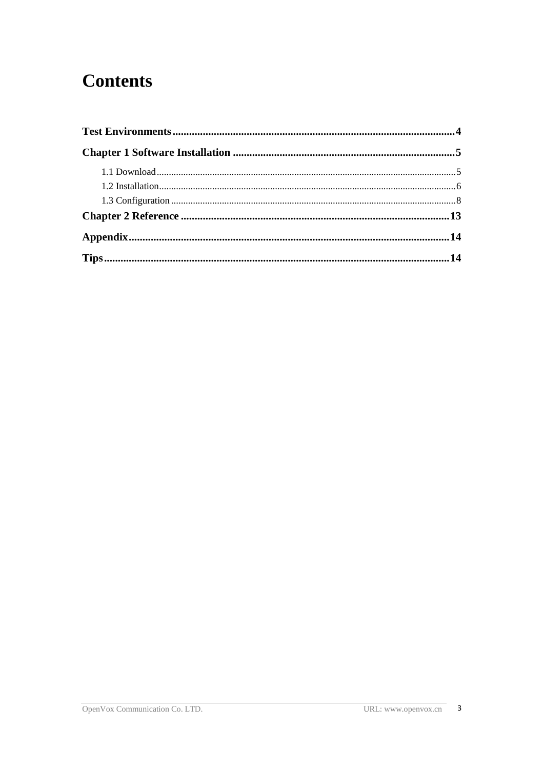# **Contents**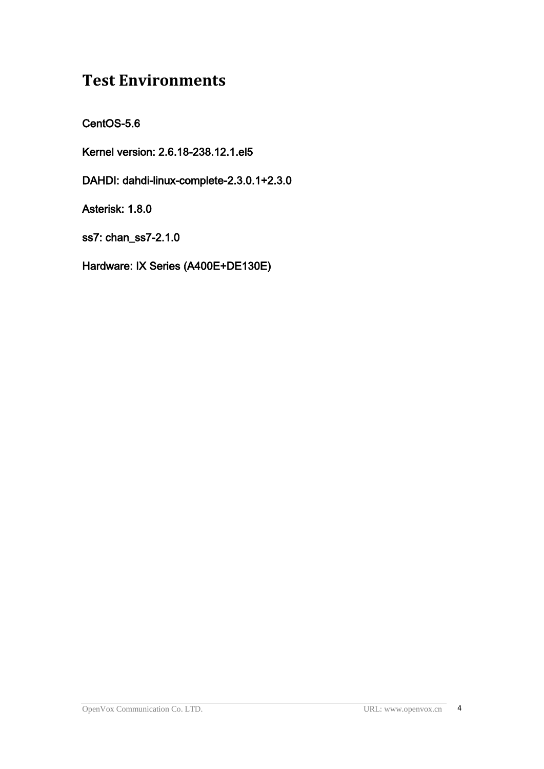# <span id="page-3-0"></span>**Test Environments**

CentOS-5.6

Kernel version: 2.6.18-238.12.1.el5

DAHDI: dahdi-linux-complete-2.3.0.1+2.3.0

Asterisk: 1.8.0

ss7: chan\_ss7-2.1.0

Hardware: IX Series (A400E+DE130E)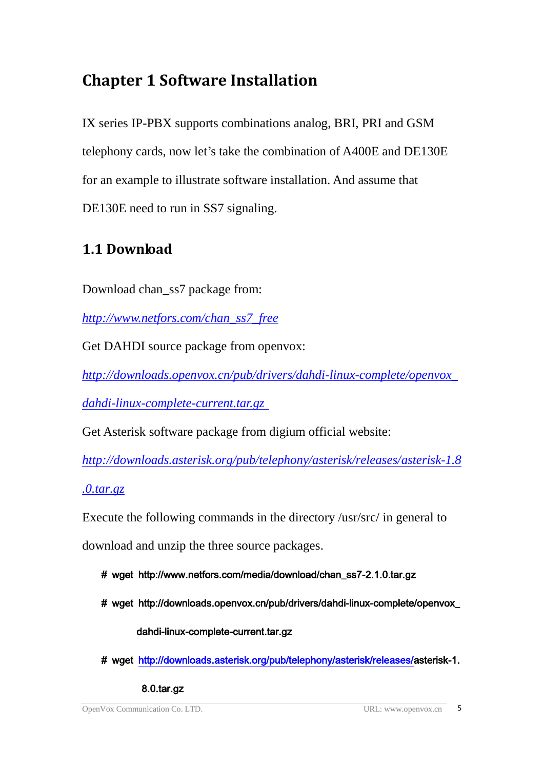# <span id="page-4-0"></span>**Chapter 1 Software Installation**

IX series IP-PBX supports combinations analog, BRI, PRI and GSM telephony cards, now let's take the combination of A400E and DE130E for an example to illustrate software installation. And assume that DE130E need to run in SS7 signaling.

# <span id="page-4-1"></span>**1.1 Download**

Download chan\_ss7 package from:

*[http://www.netfors.com/chan\\_ss7\\_free](http://www.netfors.com/chan_ss7_free)*

Get DAHDI source package from openvox:

*http://downloads.openvox.cn/pub/drivers/dahdi-linux-complete/openvox\_*

*dahdi-linux-complete-current.tar.gz*

Get Asterisk software package from digium official website:

*[http://downloads.asterisk.org/pub/telephony/asterisk/releases/a](http://downloads.asterisk.org/pub/telephony/asterisk/releases/)sterisk-1.8*

*.0.tar.gz*

Execute the following commands in the directory /usr/src/ in general to

download and unzip the three source packages.

- # wget http://www.netfors.com/media/download/chan\_ss7-2.1.0.tar.gz
- # wget http://downloads.openvox.cn/pub/drivers/dahdi-linux-complete/openvox\_

dahdi-linux-complete-current.tar.gz

# wget http://downloads.asterisk.org/pub/telephony/asterisk/releases/asterisk-1.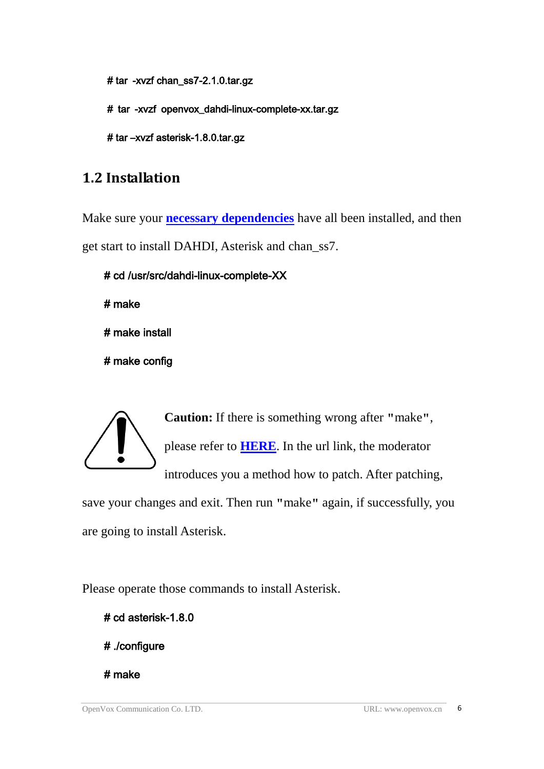# tar\_-xvzf chan\_ss7-2.1.0.tar.gz

#\_tar\_-xvzf\_openvox\_dahdi-linux-complete-xx.tar.gz

# tar –xvzf asterisk-1.8.0.tar.gz

## <span id="page-5-0"></span>**1.2 Installation**

Make sure your **[necessary dependencies](#page-13-0)** have all been installed, and then get start to install DAHDI, Asterisk and chan\_ss7.

```
# cd /usr/src/dahdi-linux-complete-XX 
# make
```
# make install

# make config



**Caution:** If there is something wrong after **"**make**"**, please refer to **[HERE](http://bbs.openvox.cn/viewthread.php?tid=1557&extra=page%3D1)**. In the url link, the moderator introduces you a method how to patch. After patching,

save your changes and exit. Then run **"**make**"** again, if successfully, you are going to install Asterisk.

Please operate those commands to install Asterisk.

# cd asterisk-1.8.0

# ./configure

# make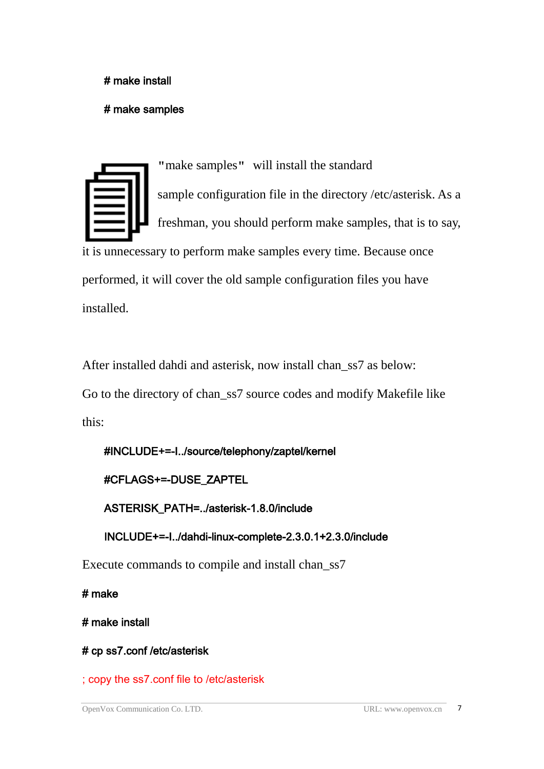#### # make install

#### # make samples

**"**make samples**"** will install the standard sample [configuration](http://www.voip-info.org/wiki/view/Asterisk+config+files) file in the directory /etc/asterisk. As a freshman, you should perform make samples, that is to say, it is unnecessary to perform make samples every time. Because once performed, it will cover the old sample configuration files you have installed.

After installed dahdi and asterisk, now install chan ss7 as below: Go to the directory of chan\_ss7 source codes and modify Makefile like this:

## #INCLUDE+=-I../source/telephony/zaptel/kernel

#### #CFLAGS+=-DUSE\_ZAPTEL

ASTERISK\_PATH=../asterisk-1.8.0/include

INCLUDE+=-I../dahdi-linux-complete-2.3.0.1+2.3.0/include

Execute commands to compile and install chan\_ss7

# make

# make install

### # cp ss7.conf /etc/asterisk

; copy the ss7.conf file to /etc/asterisk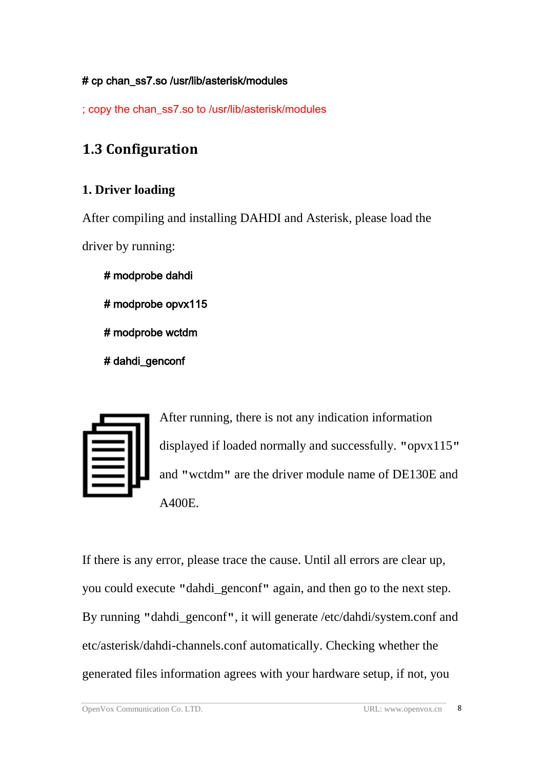### # cp chan\_ss7.so /usr/lib/asterisk/modules

; copy the chan\_ss7.so to /usr/lib/asterisk/modules

## <span id="page-7-0"></span>**1.3 Configuration**

### **1. Driver loading**

After compiling and installing DAHDI and Asterisk, please load the driver by running:

# modprobe dahdi # modprobe opvx115 # modprobe wctdm # dahdi\_genconf

After running, there is not any indication information displayed if loaded normally and successfully. **"**opvx115**"** and **"**wctdm**"** are the driver module name of DE130E and A400E.

If there is any error, please trace the cause. Until all errors are clear up, you could execute **"**dahdi\_genconf**"** again, and then go to the next step. By running **"**dahdi\_genconf**"**, it will generate /etc/dahdi/system.conf and etc/asterisk/dahdi-channels.conf automatically. Checking whether the generated files information agrees with your hardware setup, if not, you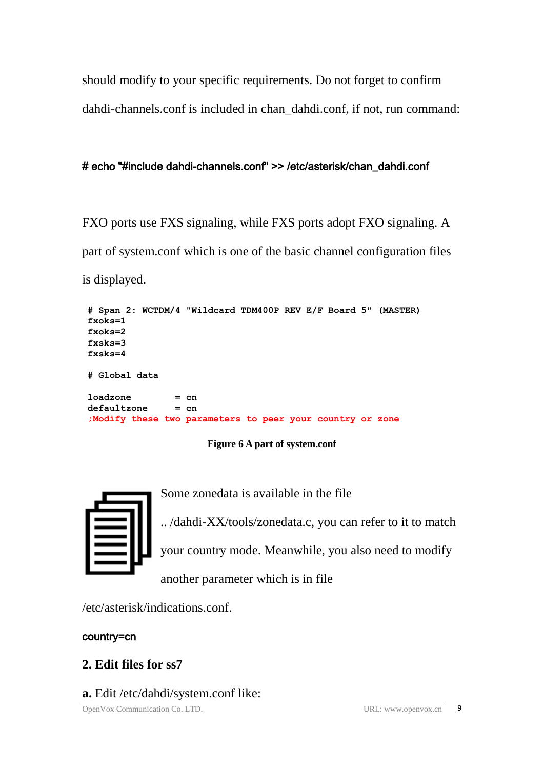should modify to your specific requirements. Do not forget to confirm dahdi-channels.conf is included in chan\_dahdi.conf, if not, run command:

#### # echo "#include dahdi-channels.conf" >> /etc/asterisk/chan\_dahdi.conf

FXO ports use FXS signaling, while FXS ports adopt FXO signaling. A part of system.conf which is one of the basic channel configuration files is displayed.

```
# Span 2: WCTDM/4 "Wildcard TDM400P REV E/F Board 5" (MASTER) fxoks=1 fxoks=2 fxsks=3 fxsks=4 # Global data loadzone = cn defaultzone = cn ;Modify these two parameters to peer your country or zone
```
#### **Figure 6 A part of system.conf**



Some zonedata is available in the file

.. /dahdi-XX/tools/zonedata.c, you can refer to it to match your country mode. Meanwhile, you also need to modify

another parameter which is in file

/etc/asterisk/indications.conf.

#### country=cn

- **2. Edit files for ss7**
- **a.** Edit /etc/dahdi/system.conf like:

OpenVox Communication Co. LTD. URL: www.openvox.cn 9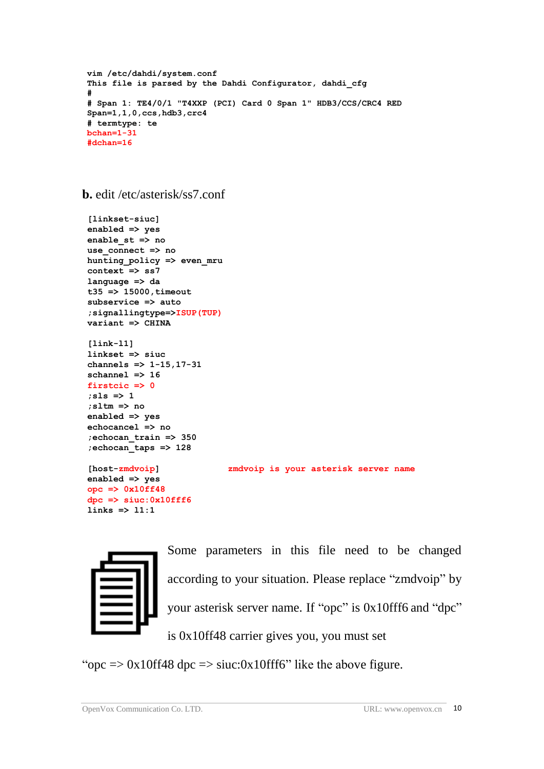```
#
# Span 1: TE4/0/1 "T4XXP (PCI) Card 0 Span 1" HDB3/CCS/CRC4 RED Span=1,1,0,ccs,hdb3,crc4
# termtype: te bchan=1-31
#dchan=16
```
**b.** edit /etc/asterisk/ss7.conf

```
Open Communication Communication Communication Configurator<br>
Co. Co. Co. LTD. URL: WELL: WELL: WELL: WELL: WELL: WELL: WELL: WELL: WELL: WELL: WELL: WELL: WELL: WELL: WELL: WELL: WELL: WELL: WELL: WELL: WELL: WELL: WE
 [linkset-siuc] enabled => yes enable_st => no use_connect => no hunting_policy => even_mru context => ss7 language => da t35 => 15000,timeout subservice => auto ;signallingtype=>ISUP(TUP) variant => CHINA [link-l1] linkset => siuc channels => 1-15,17-31 schannel => 16 firstcic => 0 ;sls => 1 ;sltm => no enabled => yes echocancel => no ;echocan_train => 350 ;echocan_taps => 128 [host-zmdvoip] zmdvoip is your asterisk server name enabled => yes opc => 0x10ff48 dpc => siuc:0x10fff6 links => l1:1
```


Some parameters in this file need to be changed according to your situation. Please replace "zmdvoip" by your asterisk server name. If "opc" is 0x10fff6 and "dpc" is 0x10ff48 carrier gives you, you must set

"opc  $\Rightarrow$  0x10ff48 dpc  $\Rightarrow$  siuc:0x10fff6" like the above figure.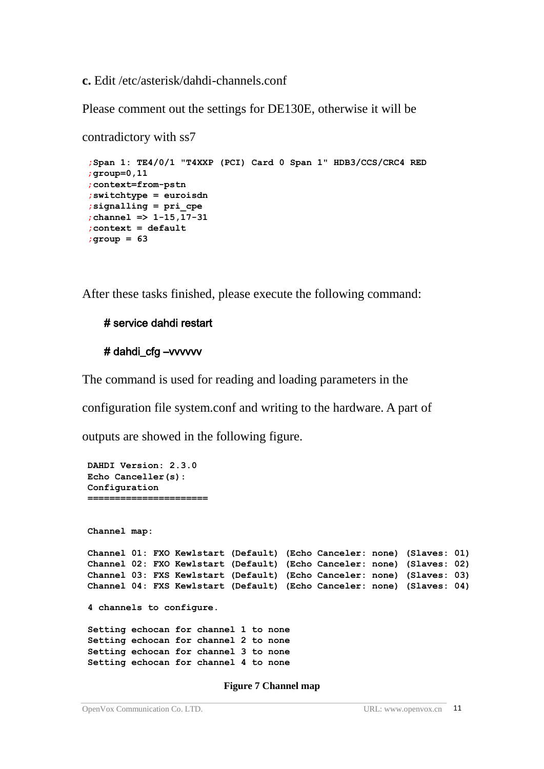**c.** Edit /etc/asterisk/dahdi-channels.conf

Please comment out the settings for DE130E, otherwise it will be

```
contradictory with ss7
 ;Span 1: TE4/0/1 "T4XXP (PCI) Card 0 Span 1" HDB3/CCS/CRC4 RED ;group=0,11 ;context=from-pstn ;switchtype = euroisdn ;signalling = pri_cpe ;channel => 1-15,17-31 ;context = default ;group = 63
```
After these tasks finished, please execute the following command:

#### # service dahdi restart

#### # dahdi\_cfg –vvvvvv

The command is used for reading and loading parameters in the

configuration file system.conf and writing to the hardware. A part of

outputs are showed in the following figure.

```
DAHDI Version: 2.3.0 Echo Canceller(s): Configuration ====================== Channel map: Channel 01: FXO Kewlstart (Default) (Echo Canceler: none) (Slaves: 01) Channel 02: FXO Kewlstart (Default) (Echo Canceler: none) (Slaves: 02) Channel 03: FXS Kewlstart (Default) (Echo Canceler: none) (Slaves: 03) Channel 04: FXS Kewlstart (Default) (Echo Canceler: none) (Slaves: 04) 4 channels to configure. Setting echocan for channel 1 to none Setting echocan for channel 2 to none Setting echocan for channel 3 to none Setting echocan for channel 4 to none
```
**Figure 7 Channel map**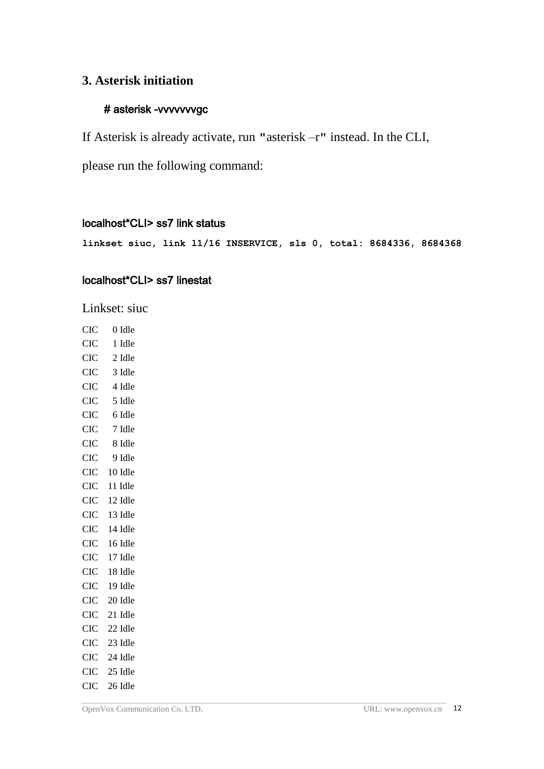#### **3. Asterisk initiation**

#### # asterisk -vvvvvvvgc

If Asterisk is already activate, run **"**asterisk –r**"** instead. In the CLI,

please run the following command:

#### localhost\*CLI> ss7 link status

**linkset siuc, link l1/16 INSERVICE, sls 0, total: 8684336, 8684368**

#### localhost\*CLI> ss7 linestat

Linkset: siuc

| <b>CIC</b> | 0 Idle  |
|------------|---------|
| <b>CIC</b> | 1 Idle  |
| <b>CIC</b> | 2 Idle  |
| <b>CIC</b> | 3 Idle  |
| <b>CIC</b> | 4 Idle  |
| <b>CIC</b> | 5 Idle  |
| <b>CIC</b> | 6 Idle  |
| <b>CIC</b> | 7 Idle  |
| <b>CIC</b> | 8 Idle  |
| <b>CIC</b> | 9 Idle  |
| <b>CIC</b> | 10 Idle |
| <b>CIC</b> | 11 Idle |
| <b>CIC</b> | 12 Idle |
| <b>CIC</b> | 13 Idle |
| <b>CIC</b> | 14 Idle |
| <b>CIC</b> | 16 Idle |
| <b>CIC</b> | 17 Idle |
| <b>CIC</b> | 18 Idle |
| <b>CIC</b> | 19 Idle |
| <b>CIC</b> | 20 Idle |
| <b>CIC</b> | 21 Idle |
| <b>CIC</b> | 22 Idle |
| <b>CIC</b> | 23 Idle |
| <b>CIC</b> | 24 Idle |
| <b>CIC</b> | 25 Idle |
| <b>CIC</b> | 26 Idle |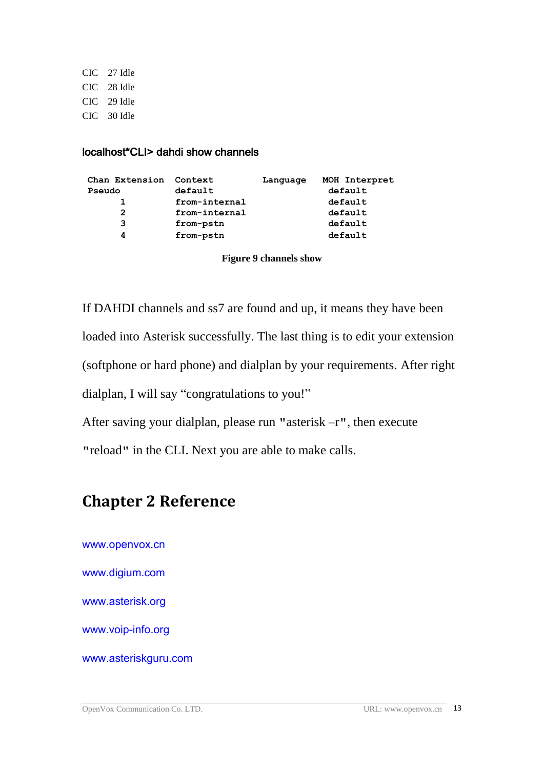CIC 27 Idle CIC 28 Idle CIC 29 Idle CIC 30 Idle

#### localhost\*CLI> dahdi show channels

| Chan Extension | Context       | Language | MOH Interpret |
|----------------|---------------|----------|---------------|
| Pseudo         | default       |          | default       |
|                | from-internal |          | default       |
| 2              | from-internal |          | default       |
| 3              | from-pstn     |          | default       |
| 4              | from-pstn     |          | default       |

**Figure 9 channels show**

If DAHDI channels and ss7 are found and up, it means they have been loaded into Asterisk successfully. The last thing is to edit your extension (softphone or hard phone) and dialplan by your requirements. After right dialplan, I will say "congratulations to you!"

After saving your dialplan, please run **"**asterisk –r**"**, then execute **"**reload**"** in the CLI. Next you are able to make calls.

## <span id="page-12-0"></span>**Chapter 2 Reference**

[www.openvox.cn](http://www.openvox.cn/) [www.digium.com](http://www.digium.com/) [www.asterisk.org](http://www.asterisk.org/) [www.voip-info.org](http://www.voip-info.org/) [www.asteriskguru.com](http://www.asteriskguru.com/)